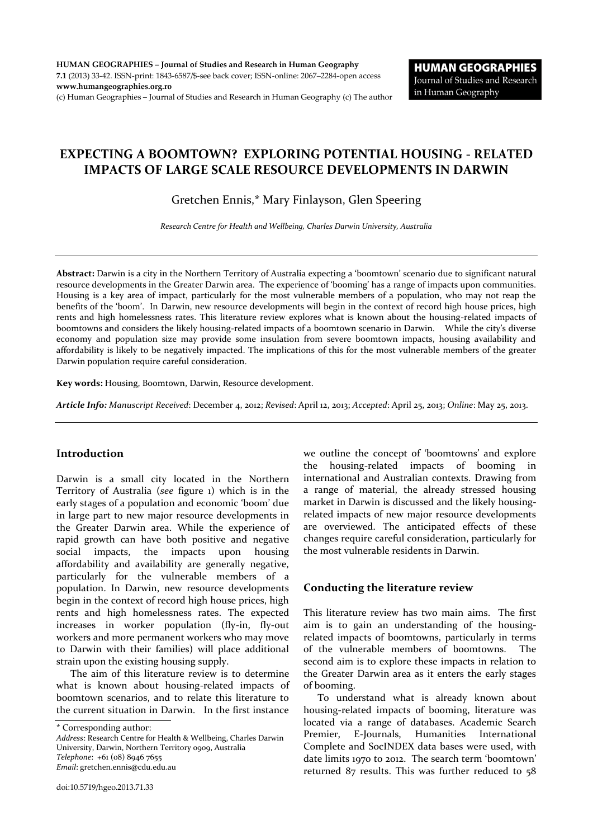# **EXPECTING A BOOMTOWN? EXPLORING POTENTIAL HOUSING - RELATED IMPACTS OF LARGE SCALE RESOURCE DEVELOPMENTS IN DARWIN**

Gretchen Ennis,\* Mary Finlayson, Glen Speering

*Research Centre for Health and Wellbeing, Charles Darwin University, Australia*

**Abstract:** Darwin is a city in the Northern Territory of Australia expecting a 'boomtown' scenario due to significant natural resource developments in the Greater Darwin area. The experience of 'booming' has a range of impacts upon communities. Housing is a key area of impact, particularly for the most vulnerable members of a population, who may not reap the benefits of the 'boom'. In Darwin, new resource developments will begin in the context of record high house prices, high rents and high homelessness rates. This literature review explores what is known about the housing-related impacts of boomtowns and considers the likely housing-related impacts of a boomtown scenario in Darwin. While the city's diverse economy and population size may provide some insulation from severe boomtown impacts, housing availability and affordability is likely to be negatively impacted. The implications of this for the most vulnerable members of the greater Darwin population require careful consideration.

**Key words:** Housing, Boomtown, Darwin, Resource development.

*Article Info: Manuscript Received*: December 4, 2012; *Revised*: April 12, 2013; *Accepted*: April 25, 2013; *Online*: May 25, 2013.

### **Introduction**

Darwin is a small city located in the Northern Territory of Australia (*see* figure 1) which is in the early stages of a population and economic 'boom' due in large part to new major resource developments in the Greater Darwin area. While the experience of rapid growth can have both positive and negative social impacts, the impacts upon housing affordability and availability are generally negative, particularly for the vulnerable members of a population. In Darwin, new resource developments begin in the context of record high house prices, high rents and high homelessness rates. The expected increases in worker population (fly-in, fly-out workers and more permanent workers who may move to Darwin with their families) will place additional strain upon the existing housing supply.

The aim of this literature review is to determine what is known about housing-related impacts of boomtown scenarios, and to relate this literature to the current situation in Darwin. In the first instance

\* Corresponding author:

*Address*: Research Centre for Health & Wellbeing, Charles Darwin University, Darwin, Northern Territory 0909, Australia *Telephone*: +61 (08) 8946 7655 *Email*: gretchen.ennis@cdu.edu.au

we outline the concept of 'boomtowns' and explore the housing-related impacts of booming in international and Australian contexts. Drawing from a range of material, the already stressed housing market in Darwin is discussed and the likely housingrelated impacts of new major resource developments are overviewed. The anticipated effects of these changes require careful consideration, particularly for the most vulnerable residents in Darwin.

# **Conducting the literature review**

This literature review has two main aims. The first aim is to gain an understanding of the housingrelated impacts of boomtowns, particularly in terms of the vulnerable members of boomtowns. The second aim is to explore these impacts in relation to the Greater Darwin area as it enters the early stages of booming.

To understand what is already known about housing-related impacts of booming, literature was located via a range of databases. Academic Search Premier, E-Journals, Humanities International Complete and SocINDEX data bases were used, with date limits 1970 to 2012. The search term 'boomtown' returned 87 results. This was further reduced to 58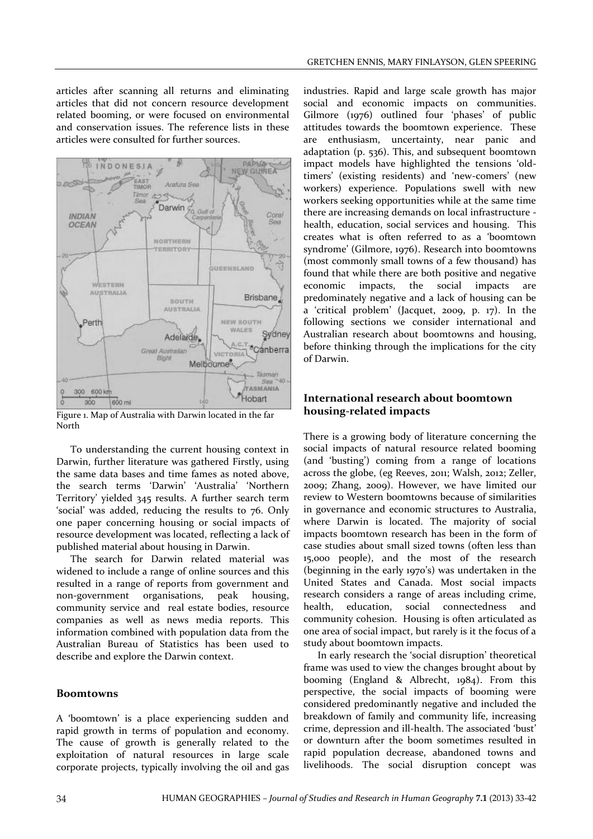articles after scanning all returns and eliminating articles that did not concern resource development related booming, or were focused on environmental and conservation issues. The reference lists in these articles were consulted for further sources.



Figure 1. Map of Australia with Darwin located in the far North

To understanding the current housing context in Darwin, further literature was gathered Firstly, using the same data bases and time fames as noted above, the search terms 'Darwin' 'Australia' 'Northern Territory' yielded 345 results. A further search term 'social' was added, reducing the results to 76. Only one paper concerning housing or social impacts of resource development was located, reflecting a lack of published material about housing in Darwin.

The search for Darwin related material was widened to include a range of online sources and this resulted in a range of reports from government and non-government organisations, peak housing, community service and real estate bodies, resource companies as well as news media reports. This information combined with population data from the Australian Bureau of Statistics has been used to describe and explore the Darwin context.

#### **Boomtowns**

A 'boomtown' is a place experiencing sudden and rapid growth in terms of population and economy. The cause of growth is generally related to the exploitation of natural resources in large scale corporate projects, typically involving the oil and gas industries. Rapid and large scale growth has major social and economic impacts on communities. Gilmore (1976) outlined four 'phases' of public attitudes towards the boomtown experience. These are enthusiasm, uncertainty, near panic and adaptation (p. 536). This, and subsequent boomtown impact models have highlighted the tensions 'oldtimers' (existing residents) and 'new-comers' (new workers) experience. Populations swell with new workers seeking opportunities while at the same time there are increasing demands on local infrastructure health, education, social services and housing. This creates what is often referred to as a 'boomtown syndrome' (Gilmore, 1976). Research into boomtowns (most commonly small towns of a few thousand) has found that while there are both positive and negative economic impacts, the social impacts are predominately negative and a lack of housing can be a 'critical problem' (Jacquet, 2009, p. 17). In the following sections we consider international and Australian research about boomtowns and housing, before thinking through the implications for the city of Darwin.

#### **International research about boomtown housing-related impacts**

There is a growing body of literature concerning the social impacts of natural resource related booming (and 'busting') coming from a range of locations across the globe, (eg Reeves, 2011; Walsh, 2012; Zeller, 2009; Zhang, 2009). However, we have limited our review to Western boomtowns because of similarities in governance and economic structures to Australia, where Darwin is located. The majority of social impacts boomtown research has been in the form of case studies about small sized towns (often less than 15,000 people), and the most of the research (beginning in the early 1970's) was undertaken in the United States and Canada. Most social impacts research considers a range of areas including crime, health, education, social connectedness and community cohesion. Housing is often articulated as one area of social impact, but rarely is it the focus of a study about boomtown impacts.

In early research the 'social disruption' theoretical frame was used to view the changes brought about by booming (England & Albrecht, 1984). From this perspective, the social impacts of booming were considered predominantly negative and included the breakdown of family and community life, increasing crime, depression and ill-health. The associated 'bust' or downturn after the boom sometimes resulted in rapid population decrease, abandoned towns and livelihoods. The social disruption concept was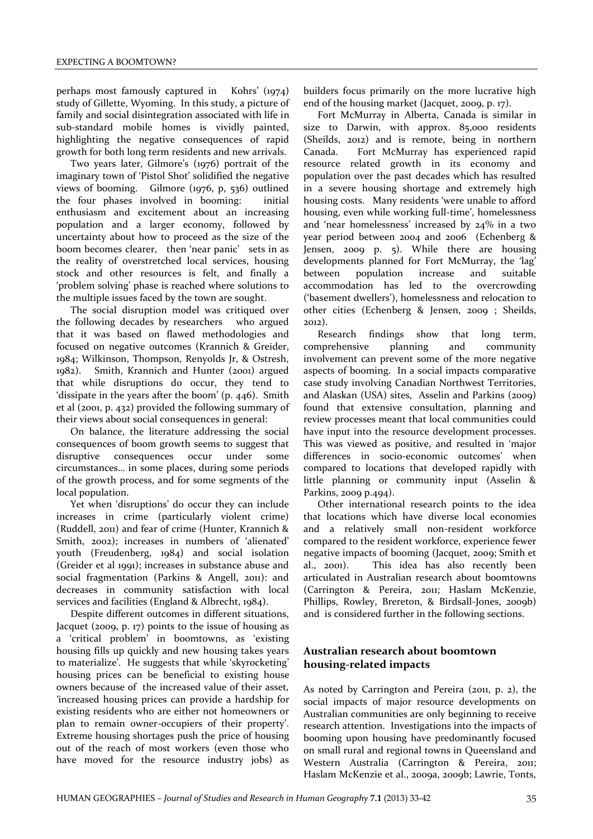perhaps most famously captured in Kohrs' (1974) study of Gillette, Wyoming. In this study, a picture of family and social disintegration associated with life in sub-standard mobile homes is vividly painted, highlighting the negative consequences of rapid growth for both long term residents and new arrivals.

Two years later, Gilmore's (1976) portrait of the imaginary town of 'Pistol Shot' solidified the negative views of booming. Gilmore (1976, p, 536) outlined the four phases involved in booming: initial enthusiasm and excitement about an increasing population and a larger economy, followed by uncertainty about how to proceed as the size of the boom becomes clearer, then 'near panic' sets in as the reality of overstretched local services, housing stock and other resources is felt, and finally a 'problem solving' phase is reached where solutions to the multiple issues faced by the town are sought.

The social disruption model was critiqued over the following decades by researchers who argued that it was based on flawed methodologies and focused on negative outcomes (Krannich & Greider, 1984; Wilkinson, Thompson, Renyolds Jr, & Ostresh, 1982). Smith, Krannich and Hunter (2001) argued that while disruptions do occur, they tend to 'dissipate in the years after the boom' (p. 446). Smith et al (2001, p. 432) provided the following summary of their views about social consequences in general:

On balance, the literature addressing the social consequences of boom growth seems to suggest that disruptive consequences occur under some circumstances… in some places, during some periods of the growth process, and for some segments of the local population.

Yet when 'disruptions' do occur they can include increases in crime (particularly violent crime) (Ruddell, 2011) and fear of crime (Hunter, Krannich & Smith, 2002); increases in numbers of 'alienated' youth (Freudenberg, 1984) and social isolation (Greider et al 1991); increases in substance abuse and social fragmentation (Parkins & Angell, 2011): and decreases in community satisfaction with local services and facilities (England & Albrecht, 1984).

Despite different outcomes in different situations, Jacquet (2009, p. 17) points to the issue of housing as a 'critical problem' in boomtowns, as 'existing housing fills up quickly and new housing takes years to materialize'*.* He suggests that while 'skyrocketing' housing prices can be beneficial to existing house owners because of the increased value of their asset*, '*increased housing prices can provide a hardship for existing residents who are either not homeowners or plan to remain owner-occupiers of their property'. Extreme housing shortages push the price of housing out of the reach of most workers (even those who have moved for the resource industry jobs) as

builders focus primarily on the more lucrative high end of the housing market (Jacquet, 2009, p. 17).

Fort McMurray in Alberta, Canada is similar in size to Darwin, with approx. 85,000 residents (Sheilds, 2012) and is remote, being in northern Canada. Fort McMurray has experienced rapid resource related growth in its economy and population over the past decades which has resulted in a severe housing shortage and extremely high housing costs. Many residents 'were unable to afford housing, even while working full-time', homelessness and 'near homelessness' increased by 24% in a two year period between 2004 and 2006 (Echenberg & Jensen, 2009 p. 5). While there are housing developments planned for Fort McMurray, the 'lag' between population increase and suitable accommodation has led to the overcrowding ('basement dwellers'), homelessness and relocation to other cities (Echenberg & Jensen, 2009 ; Sheilds, 2012).

Research findings show that long term, comprehensive planning and community involvement can prevent some of the more negative aspects of booming. In a social impacts comparative case study involving Canadian Northwest Territories, and Alaskan (USA) sites, Asselin and Parkins (2009) found that extensive consultation, planning and review processes meant that local communities could have input into the resource development processes. This was viewed as positive, and resulted in 'major differences in socio-economic outcomes' when compared to locations that developed rapidly with little planning or community input (Asselin & Parkins, 2009 p.494).

Other international research points to the idea that locations which have diverse local economies and a relatively small non-resident workforce compared to the resident workforce, experience fewer negative impacts of booming (Jacquet, 2009; Smith et al., 2001). This idea has also recently been articulated in Australian research about boomtowns (Carrington & Pereira, 2011; Haslam McKenzie, Phillips, Rowley, Brereton, & Birdsall-Jones, 2009b) and is considered further in the following sections.

# **Australian research about boomtown housing-related impacts**

As noted by Carrington and Pereira (2011, p. 2), the social impacts of major resource developments on Australian communities are only beginning to receive research attention. Investigations into the impacts of booming upon housing have predominantly focused on small rural and regional towns in Queensland and Western Australia (Carrington & Pereira, 2011; Haslam McKenzie et al., 2009a, 2009b; Lawrie, Tonts,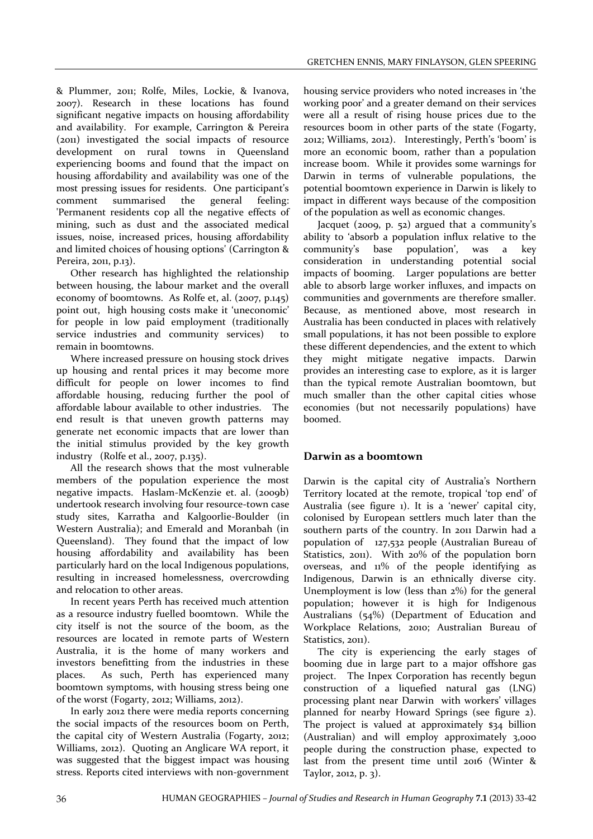& Plummer, 2011; Rolfe, Miles, Lockie, & Ivanova, 2007). Research in these locations has found significant negative impacts on housing affordability and availability. For example, Carrington & Pereira (2011) investigated the social impacts of resource development on rural towns in Queensland experiencing booms and found that the impact on housing affordability and availability was one of the most pressing issues for residents. One participant's comment summarised the general feeling: 'Permanent residents cop all the negative effects of mining, such as dust and the associated medical issues, noise, increased prices, housing affordability and limited choices of housing options' (Carrington & Pereira, 2011, p.13).

Other research has highlighted the relationship between housing, the labour market and the overall economy of boomtowns. As Rolfe et, al. (2007, p.145) point out, high housing costs make it 'uneconomic' for people in low paid employment (traditionally service industries and community services) to remain in boomtowns.

Where increased pressure on housing stock drives up housing and rental prices it may become more difficult for people on lower incomes to find affordable housing, reducing further the pool of affordable labour available to other industries. The end result is that uneven growth patterns may generate net economic impacts that are lower than the initial stimulus provided by the key growth industry (Rolfe et al., 2007, p.135).

All the research shows that the most vulnerable members of the population experience the most negative impacts. Haslam-McKenzie et. al. (2009b) undertook research involving four resource-town case study sites, Karratha and Kalgoorlie-Boulder (in Western Australia); and Emerald and Moranbah (in Queensland). They found that the impact of low housing affordability and availability has been particularly hard on the local Indigenous populations, resulting in increased homelessness, overcrowding and relocation to other areas.

In recent years Perth has received much attention as a resource industry fuelled boomtown. While the city itself is not the source of the boom, as the resources are located in remote parts of Western Australia, it is the home of many workers and investors benefitting from the industries in these places. As such, Perth has experienced many boomtown symptoms, with housing stress being one of the worst (Fogarty, 2012; Williams, 2012).

In early 2012 there were media reports concerning the social impacts of the resources boom on Perth, the capital city of Western Australia (Fogarty, 2012; Williams, 2012). Quoting an Anglicare WA report, it was suggested that the biggest impact was housing stress. Reports cited interviews with non-government housing service providers who noted increases in 'the working poor' and a greater demand on their services were all a result of rising house prices due to the resources boom in other parts of the state (Fogarty, 2012; Williams, 2012). Interestingly, Perth's 'boom' is more an economic boom, rather than a population increase boom. While it provides some warnings for Darwin in terms of vulnerable populations, the potential boomtown experience in Darwin is likely to impact in different ways because of the composition of the population as well as economic changes.

Jacquet (2009, p. 52) argued that a community's ability to 'absorb a population influx relative to the community's base population', was a key consideration in understanding potential social impacts of booming. Larger populations are better able to absorb large worker influxes, and impacts on communities and governments are therefore smaller. Because, as mentioned above, most research in Australia has been conducted in places with relatively small populations, it has not been possible to explore these different dependencies, and the extent to which they might mitigate negative impacts. Darwin provides an interesting case to explore, as it is larger than the typical remote Australian boomtown, but much smaller than the other capital cities whose economies (but not necessarily populations) have boomed.

# **Darwin as a boomtown**

Darwin is the capital city of Australia's Northern Territory located at the remote, tropical 'top end' of Australia (see figure 1). It is a 'newer' capital city, colonised by European settlers much later than the southern parts of the country. In 2011 Darwin had a population of 127,532 people (Australian Bureau of Statistics, 2011). With 20% of the population born overseas, and 11% of the people identifying as Indigenous, Darwin is an ethnically diverse city. Unemployment is low (less than 2%) for the general population; however it is high for Indigenous Australians (54%) (Department of Education and Workplace Relations, 2010; Australian Bureau of Statistics, 2011).

The city is experiencing the early stages of booming due in large part to a major offshore gas project. The Inpex Corporation has recently begun construction of a liquefied natural gas (LNG) processing plant near Darwin with workers' villages planned for nearby Howard Springs (see figure 2). The project is valued at approximately \$34 billion (Australian) and will employ approximately 3,000 people during the construction phase, expected to last from the present time until 2016 (Winter & Taylor, 2012, p. 3).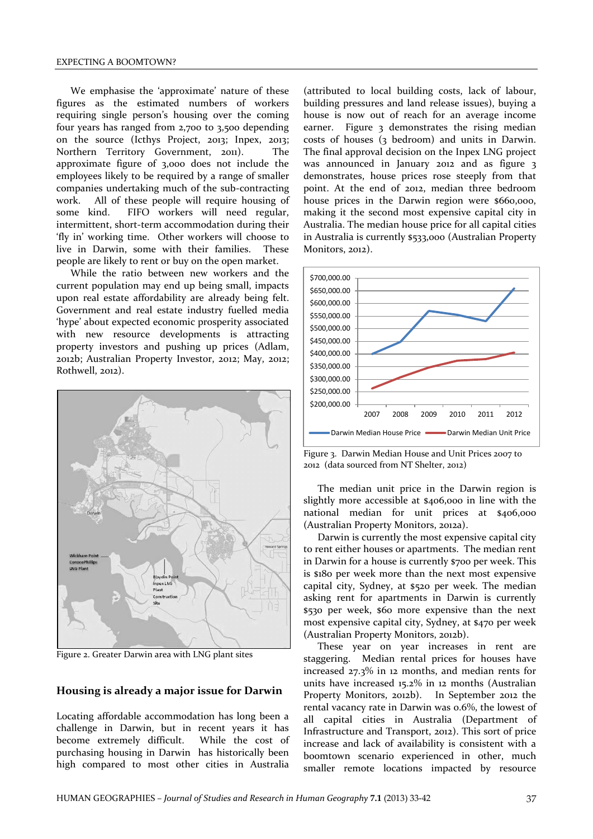We emphasise the 'approximate' nature of these figures as the estimated numbers of workers requiring single person's housing over the coming four years has ranged from 2,700 to 3,500 depending on the source (Icthys Project, 2013; Inpex, 2013; Northern Territory Government, 2011). The approximate figure of 3,000 does not include the employees likely to be required by a range of smaller companies undertaking much of the sub-contracting work. All of these people will require housing of some kind. FIFO workers will need regular, intermittent, short-term accommodation during their 'fly in' working time. Other workers will choose to live in Darwin, some with their families. These people are likely to rent or buy on the open market.

While the ratio between new workers and the current population may end up being small, impacts upon real estate affordability are already being felt. Government and real estate industry fuelled media 'hype' about expected economic prosperity associated with new resource developments is attracting property investors and pushing up prices (Adlam, 2012b; Australian Property Investor, 2012; May, 2012; Rothwell, 2012).



Figure 2. Greater Darwin area with LNG plant sites

#### **Housing is already a major issue for Darwin**

Locating affordable accommodation has long been a challenge in Darwin, but in recent years it has become extremely difficult. While the cost of purchasing housing in Darwin has historically been high compared to most other cities in Australia

(attributed to local building costs, lack of labour, building pressures and land release issues), buying a house is now out of reach for an average income earner. Figure 3 demonstrates the rising median costs of houses (3 bedroom) and units in Darwin. The final approval decision on the Inpex LNG project was announced in January 2012 and as figure 3 demonstrates, house prices rose steeply from that point. At the end of 2012, median three bedroom house prices in the Darwin region were \$660,000, making it the second most expensive capital city in Australia. The median house price for all capital cities in Australia is currently \$533,000 (Australian Property Monitors, 2012).



Figure 3. Darwin Median House and Unit Prices 2007 to 2012 (data sourced from NT Shelter, 2012)

The median unit price in the Darwin region is slightly more accessible at \$406,000 in line with the national median for unit prices at \$406,000 (Australian Property Monitors, 2012a).

Darwin is currently the most expensive capital city to rent either houses or apartments. The median rent in Darwin for a house is currently \$700 per week. This is \$180 per week more than the next most expensive capital city, Sydney, at \$520 per week. The median asking rent for apartments in Darwin is currently \$530 per week, \$60 more expensive than the next most expensive capital city, Sydney, at \$470 per week (Australian Property Monitors, 2012b).

These year on year increases in rent are staggering. Median rental prices for houses have increased 27.3% in 12 months, and median rents for units have increased 15.2% in 12 months (Australian Property Monitors, 2012b). In September 2012 the rental vacancy rate in Darwin was 0.6%, the lowest of all capital cities in Australia (Department of Infrastructure and Transport, 2012). This sort of price increase and lack of availability is consistent with a boomtown scenario experienced in other, much smaller remote locations impacted by resource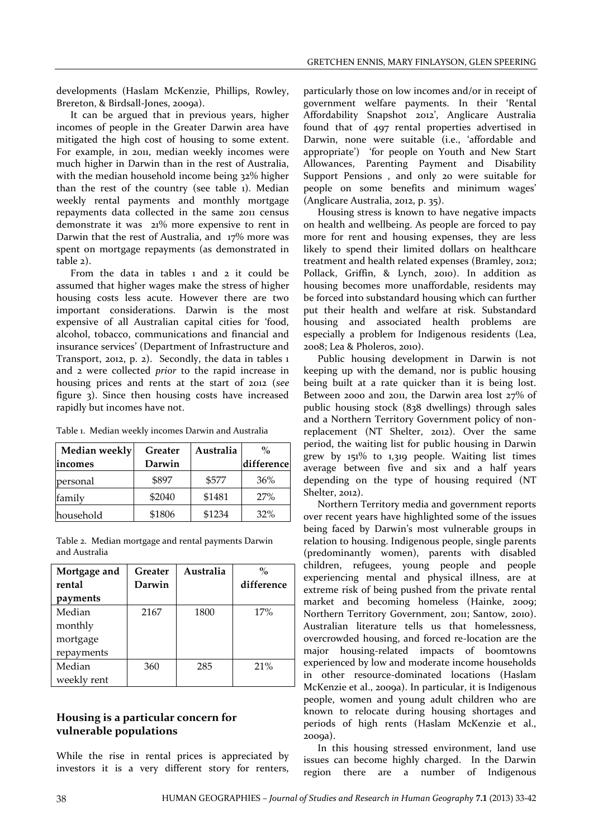developments (Haslam McKenzie, Phillips, Rowley, Brereton, & Birdsall-Jones, 2009a).

It can be argued that in previous years, higher incomes of people in the Greater Darwin area have mitigated the high cost of housing to some extent. For example, in 2011, median weekly incomes were much higher in Darwin than in the rest of Australia, with the median household income being 32% higher than the rest of the country (see table 1). Median weekly rental payments and monthly mortgage repayments data collected in the same 2011 census demonstrate it was 21% more expensive to rent in Darwin that the rest of Australia, and 17% more was spent on mortgage repayments (as demonstrated in table 2).

From the data in tables 1 and 2 it could be assumed that higher wages make the stress of higher housing costs less acute. However there are two important considerations. Darwin is the most expensive of all Australian capital cities for 'food, alcohol, tobacco, communications and financial and insurance services' (Department of Infrastructure and Transport, 2012, p. 2). Secondly, the data in tables 1 and 2 were collected *prior* to the rapid increase in housing prices and rents at the start of 2012 (*see* figure 3). Since then housing costs have increased rapidly but incomes have not.

| Median weekly | Greater | Australia | $\frac{6}{2}$ |
|---------------|---------|-----------|---------------|
| incomes       | Darwin  |           | difference    |
| personal      | \$897   | \$577     | 36%           |
| family        | \$2040  | \$1481    | 27%           |
| household     | \$1806  | \$1234    | 32%           |

|  |  |  |  |  |  | Table 1. Median weekly incomes Darwin and Australia |
|--|--|--|--|--|--|-----------------------------------------------------|
|--|--|--|--|--|--|-----------------------------------------------------|

Table 2. Median mortgage and rental payments Darwin and Australia

| Mortgage and | Greater | Australia | $\frac{0}{0}$ |
|--------------|---------|-----------|---------------|
| rental       | Darwin  |           | difference    |
| payments     |         |           |               |
| Median       | 2167    | 1800      | 17%           |
| monthly      |         |           |               |
| mortgage     |         |           |               |
| repayments   |         |           |               |
| Median       | 360     | 285       | 21%           |
| weekly rent  |         |           |               |

### **Housing is a particular concern for vulnerable populations**

While the rise in rental prices is appreciated by investors it is a very different story for renters,

particularly those on low incomes and/or in receipt of government welfare payments. In their 'Rental Affordability Snapshot 2012', Anglicare Australia found that of 497 rental properties advertised in Darwin, none were suitable (i.e., 'affordable and appropriate') 'for people on Youth and New Start Allowances, Parenting Payment and Disability Support Pensions , and only 20 were suitable for people on some benefits and minimum wages' (Anglicare Australia, 2012, p. 35).

Housing stress is known to have negative impacts on health and wellbeing. As people are forced to pay more for rent and housing expenses, they are less likely to spend their limited dollars on healthcare treatment and health related expenses (Bramley, 2012; Pollack, Griffin, & Lynch, 2010). In addition as housing becomes more unaffordable, residents may be forced into substandard housing which can further put their health and welfare at risk. Substandard housing and associated health problems are especially a problem for Indigenous residents (Lea, 2008; Lea & Pholeros, 2010).

Public housing development in Darwin is not keeping up with the demand, nor is public housing being built at a rate quicker than it is being lost. Between 2000 and 2011, the Darwin area lost 27% of public housing stock (838 dwellings) through sales and a Northern Territory Government policy of nonreplacement (NT Shelter, 2012). Over the same period, the waiting list for public housing in Darwin grew by 151% to 1,319 people. Waiting list times average between five and six and a half years depending on the type of housing required (NT Shelter, 2012).

Northern Territory media and government reports over recent years have highlighted some of the issues being faced by Darwin's most vulnerable groups in relation to housing. Indigenous people, single parents (predominantly women), parents with disabled children, refugees, young people and people experiencing mental and physical illness, are at extreme risk of being pushed from the private rental market and becoming homeless (Hainke, 2009; Northern Territory Government, 2011; Santow, 2010). Australian literature tells us that homelessness, overcrowded housing, and forced re-location are the major housing-related impacts of boomtowns experienced by low and moderate income households in other resource-dominated locations (Haslam McKenzie et al., 2009a). In particular, it is Indigenous people, women and young adult children who are known to relocate during housing shortages and periods of high rents (Haslam McKenzie et al., 2009a).

In this housing stressed environment, land use issues can become highly charged. In the Darwin region there are a number of Indigenous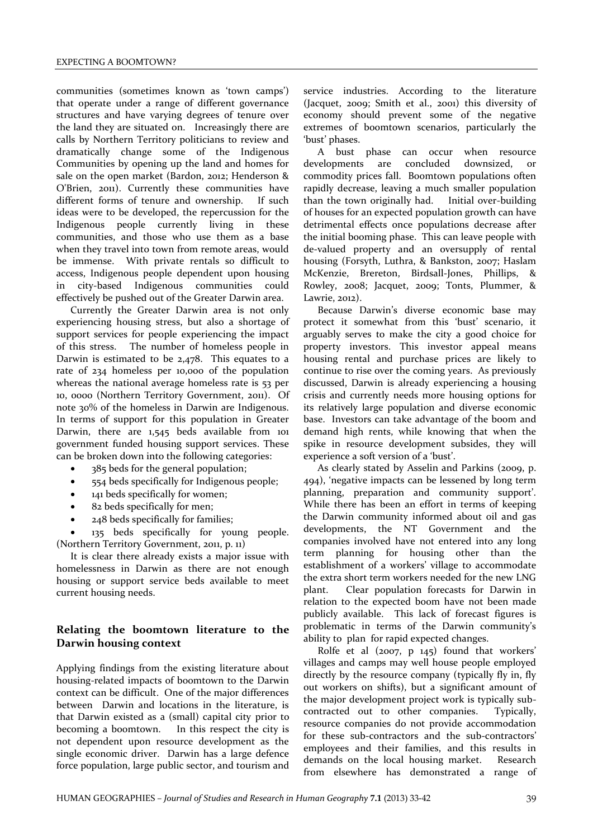communities (sometimes known as 'town camps') that operate under a range of different governance structures and have varying degrees of tenure over the land they are situated on. Increasingly there are calls by Northern Territory politicians to review and dramatically change some of the Indigenous Communities by opening up the land and homes for sale on the open market (Bardon, 2012; Henderson & O'Brien, 2011). Currently these communities have different forms of tenure and ownership. If such ideas were to be developed, the repercussion for the Indigenous people currently living in these communities, and those who use them as a base when they travel into town from remote areas, would be immense. With private rentals so difficult to access, Indigenous people dependent upon housing in city-based Indigenous communities could effectively be pushed out of the Greater Darwin area.

Currently the Greater Darwin area is not only experiencing housing stress, but also a shortage of support services for people experiencing the impact of this stress. The number of homeless people in Darwin is estimated to be 2,478. This equates to a rate of 234 homeless per 10,000 of the population whereas the national average homeless rate is 53 per 10, 0000 (Northern Territory Government, 2011). Of note 30% of the homeless in Darwin are Indigenous. In terms of support for this population in Greater Darwin, there are 1,545 beds available from 101 government funded housing support services. These can be broken down into the following categories:

- 385 beds for the general population;
- 554 beds specifically for Indigenous people;
- 141 beds specifically for women;
- 82 beds specifically for men;
- 248 beds specifically for families;

 135 beds specifically for young people. (Northern Territory Government, 2011, p. 11)

It is clear there already exists a major issue with homelessness in Darwin as there are not enough housing or support service beds available to meet current housing needs.

# **Relating the boomtown literature to the Darwin housing context**

Applying findings from the existing literature about housing-related impacts of boomtown to the Darwin context can be difficult. One of the major differences between Darwin and locations in the literature, is that Darwin existed as a (small) capital city prior to becoming a boomtown. In this respect the city is not dependent upon resource development as the single economic driver. Darwin has a large defence force population, large public sector, and tourism and

service industries. According to the literature (Jacquet, 2009; Smith et al., 2001) this diversity of economy should prevent some of the negative extremes of boomtown scenarios, particularly the 'bust' phases.

A bust phase can occur when resource developments are concluded downsized, or commodity prices fall. Boomtown populations often rapidly decrease, leaving a much smaller population than the town originally had. Initial over-building of houses for an expected population growth can have detrimental effects once populations decrease after the initial booming phase. This can leave people with de-valued property and an oversupply of rental housing (Forsyth, Luthra, & Bankston, 2007; Haslam McKenzie, Brereton, Birdsall-Jones, Phillips, & Rowley, 2008; Jacquet, 2009; Tonts, Plummer, & Lawrie, 2012).

Because Darwin's diverse economic base may protect it somewhat from this 'bust' scenario, it arguably serves to make the city a good choice for property investors. This investor appeal means housing rental and purchase prices are likely to continue to rise over the coming years. As previously discussed, Darwin is already experiencing a housing crisis and currently needs more housing options for its relatively large population and diverse economic base. Investors can take advantage of the boom and demand high rents, while knowing that when the spike in resource development subsides, they will experience a soft version of a 'bust'.

As clearly stated by Asselin and Parkins (2009, p. 494), 'negative impacts can be lessened by long term planning, preparation and community support'. While there has been an effort in terms of keeping the Darwin community informed about oil and gas developments, the NT Government and the companies involved have not entered into any long term planning for housing other than the establishment of a workers' village to accommodate the extra short term workers needed for the new LNG plant. Clear population forecasts for Darwin in relation to the expected boom have not been made publicly available. This lack of forecast figures is problematic in terms of the Darwin community's ability to plan for rapid expected changes.

Rolfe et al (2007, p 145) found that workers' villages and camps may well house people employed directly by the resource company (typically fly in, fly out workers on shifts), but a significant amount of the major development project work is typically subcontracted out to other companies. Typically, resource companies do not provide accommodation for these sub-contractors and the sub-contractors' employees and their families, and this results in demands on the local housing market. Research from elsewhere has demonstrated a range of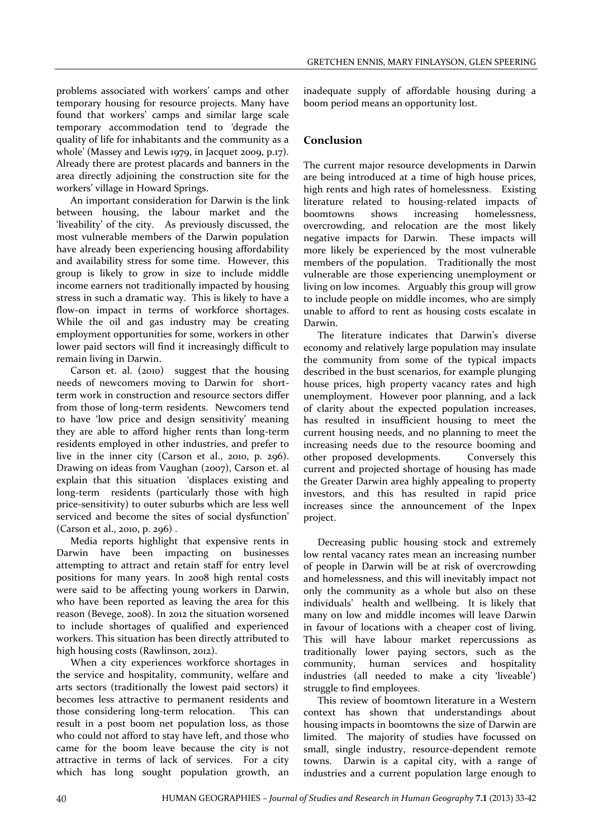problems associated with workers' camps and other temporary housing for resource projects. Many have found that workers' camps and similar large scale temporary accommodation tend to *'*degrade the quality of life for inhabitants and the community as a whole' (Massey and Lewis 1979, in Jacquet 2009, p.17). Already there are protest placards and banners in the area directly adjoining the construction site for the workers' village in Howard Springs.

An important consideration for Darwin is the link between housing, the labour market and the 'liveability' of the city. As previously discussed, the most vulnerable members of the Darwin population have already been experiencing housing affordability and availability stress for some time. However, this group is likely to grow in size to include middle income earners not traditionally impacted by housing stress in such a dramatic way. This is likely to have a flow-on impact in terms of workforce shortages. While the oil and gas industry may be creating employment opportunities for some, workers in other lower paid sectors will find it increasingly difficult to remain living in Darwin.

Carson et. al. (2010) suggest that the housing needs of newcomers moving to Darwin for shortterm work in construction and resource sectors differ from those of long-term residents. Newcomers tend to have 'low price and design sensitivity' meaning they are able to afford higher rents than long-term residents employed in other industries, and prefer to live in the inner city (Carson et al., 2010, p. 296). Drawing on ideas from Vaughan (2007), Carson et. al explain that this situation 'displaces existing and long-term residents (particularly those with high price-sensitivity) to outer suburbs which are less well serviced and become the sites of social dysfunction' (Carson et al., 2010, p. 296) .

Media reports highlight that expensive rents in Darwin have been impacting on businesses attempting to attract and retain staff for entry level positions for many years. In 2008 high rental costs were said to be affecting young workers in Darwin, who have been reported as leaving the area for this reason (Bevege, 2008). In 2012 the situation worsened to include shortages of qualified and experienced workers. This situation has been directly attributed to high housing costs (Rawlinson, 2012).

When a city experiences workforce shortages in the service and hospitality, community, welfare and arts sectors (traditionally the lowest paid sectors) it becomes less attractive to permanent residents and those considering long-term relocation. This can result in a post boom net population loss, as those who could not afford to stay have left, and those who came for the boom leave because the city is not attractive in terms of lack of services. For a city which has long sought population growth, an inadequate supply of affordable housing during a boom period means an opportunity lost.

### **Conclusion**

The current major resource developments in Darwin are being introduced at a time of high house prices, high rents and high rates of homelessness. Existing literature related to housing-related impacts of boomtowns shows increasing homelessness, overcrowding, and relocation are the most likely negative impacts for Darwin. These impacts will more likely be experienced by the most vulnerable members of the population. Traditionally the most vulnerable are those experiencing unemployment or living on low incomes. Arguably this group will grow to include people on middle incomes, who are simply unable to afford to rent as housing costs escalate in Darwin.

The literature indicates that Darwin's diverse economy and relatively large population may insulate the community from some of the typical impacts described in the bust scenarios, for example plunging house prices, high property vacancy rates and high unemployment. However poor planning, and a lack of clarity about the expected population increases, has resulted in insufficient housing to meet the current housing needs, and no planning to meet the increasing needs due to the resource booming and other proposed developments. Conversely this current and projected shortage of housing has made the Greater Darwin area highly appealing to property investors, and this has resulted in rapid price increases since the announcement of the Inpex project.

Decreasing public housing stock and extremely low rental vacancy rates mean an increasing number of people in Darwin will be at risk of overcrowding and homelessness, and this will inevitably impact not only the community as a whole but also on these individuals' health and wellbeing. It is likely that many on low and middle incomes will leave Darwin in favour of locations with a cheaper cost of living. This will have labour market repercussions as traditionally lower paying sectors, such as the community, human services and hospitality industries (all needed to make a city 'liveable') struggle to find employees.

This review of boomtown literature in a Western context has shown that understandings about housing impacts in boomtowns the size of Darwin are limited. The majority of studies have focussed on small, single industry, resource-dependent remote towns. Darwin is a capital city, with a range of industries and a current population large enough to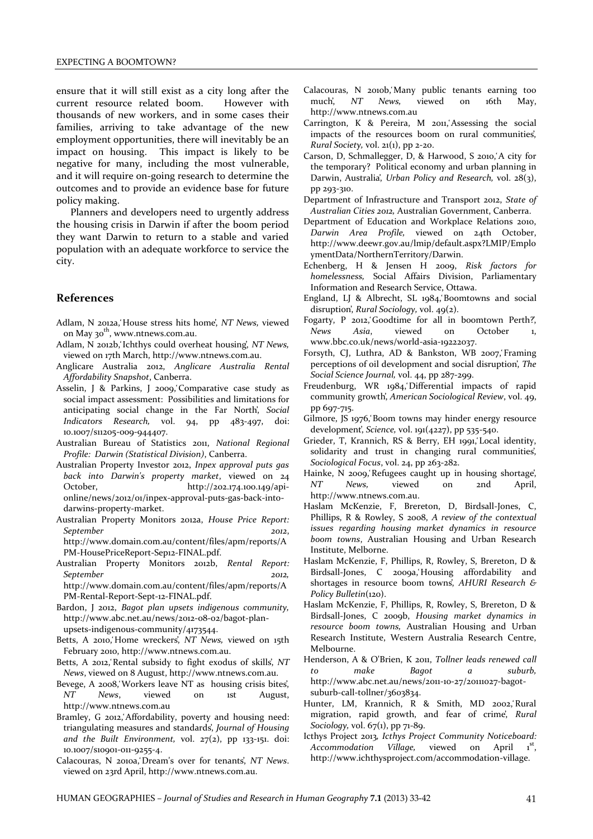ensure that it will still exist as a city long after the current resource related boom. However with thousands of new workers, and in some cases their families, arriving to take advantage of the new employment opportunities, there will inevitably be an impact on housing. This impact is likely to be negative for many, including the most vulnerable, and it will require on-going research to determine the outcomes and to provide an evidence base for future policy making.

Planners and developers need to urgently address the housing crisis in Darwin if after the boom period they want Darwin to return to a stable and varied population with an adequate workforce to service the city.

#### **References**

- Adlam, N 2012a, House stress hits home, NT News, viewed on May 30<sup>th</sup>, www.ntnews.com.au.
- Adlam, N 2012b, Ichthys could overheat housing, NT News, viewed on 17th March, [http://www.ntnews.com.au.](http://www.ntnews.com.au/)
- Anglicare Australia 2012, *Anglicare Australia Rental Affordability Snapshot*, Canberra.
- Asselin, J & Parkins, J 2009, Comparative case study as social impact assessment: Possibilities and limitations for anticipating social change in the Far North', Social *Indicators Research,* vol. 94, pp 483-497, doi: 10.1007/s11205-009-944407.
- Australian Bureau of Statistics 2011, *National Regional Profile: Darwin (Statistical Division)*, Canberra.
- Australian Property Investor 2012, *Inpex approval puts gas back into Darwin's property market*, viewed on 24 October, [http://202.174.100.149/api](http://202.174.100.149/api-online/news/2012/01/inpex-approval-puts-gas-back-into-darwins-property-market)[online/news/2012/01/inpex-approval-puts-gas-back-into](http://202.174.100.149/api-online/news/2012/01/inpex-approval-puts-gas-back-into-darwins-property-market)[darwins-property-market.](http://202.174.100.149/api-online/news/2012/01/inpex-approval-puts-gas-back-into-darwins-property-market)
- Australian Property Monitors 2012a, *House Price Report: September 2012*, [http://www.domain.com.au/content/files/apm/reports/A](http://www.domain.com.au/content/files/apm/reports/APM-HousePriceReport-Sep12-FINAL.pdf) [PM-HousePriceReport-Sep12-FINAL.pdf.](http://www.domain.com.au/content/files/apm/reports/APM-HousePriceReport-Sep12-FINAL.pdf)
- Australian Property Monitors 2012b, *Rental Report: September 2012,*  http://www.domain.com.au/content/files/apm/reports/A

PM-Rental-Report-Sept-12-FINAL.pdf.

- Bardon, J 2012, *Bagot plan upsets indigenous community,*  [http://www.abc.net.au/news/2012-08-02/bagot-plan](http://www.abc.net.au/news/2012-08-02/bagot-plan-upsets-indigenous-community/4173544)[upsets-indigenous-community/4173544.](http://www.abc.net.au/news/2012-08-02/bagot-plan-upsets-indigenous-community/4173544)
- Betts, A 2010, Home wreckers', NT News, viewed on 15th February 2010, [http://www.ntnews.com.au.](http://www.ntnews.com.au/)
- Betts, A 2012, Rental subsidy to fight exodus of skills, NT *News*, viewed on 8 August, http://www.ntnews.com.au.
- Bevege, A 2008, Workers leave NT as housing crisis bites, *NT News*, viewed on 1st August, [http://www.ntnews.com.au](http://www.ntnews.com.au/)
- Bramley, G 2012, Affordability, poverty and housing need: triangulating measures and standards, *Journal of Housing and the Built Environment,* vol. 27(2), pp 133-151. doi: 10.1007/s10901-011-9255-4.
- Calacouras, N 2010a, Dream's over for tenants, NT News. viewed on 23rd April, http://www.ntnews.com.au.
- Calacouras, N 2010b, Many public tenants earning too much', *NT News*, viewed on 16th May, [http://www.ntnews.com.au](http://www.ntnews.com.au/)
- Carrington, K & Pereira, M 2011, Assessing the social impacts of the resources boom on rural communities, *Rural Society,* vol. 21(1), pp 2-20.
- Carson, D, Schmallegger, D, & Harwood, S 2010, A city for the temporary? Political economy and urban planning in Darwin, Australia', *Urban Policy and Research*, vol. 28(3), pp 293-310.
- Department of Infrastructure and Transport 2012, *State of Australian Cities 2012,* Australian Government, Canberra.
- Department of Education and Workplace Relations 2010, *Darwin Area Profile,* viewed on 24th October, http://www.deewr.gov.au/lmip/default.aspx?LMIP/Emplo ymentData/NorthernTerritory/Darwin.
- Echenberg, H & Jensen H 2009, *Risk factors for homelessness,* Social Affairs Division, Parliamentary Information and Research Service, Ottawa.
- England, LJ & Albrecht, SL 1984, Boomtowns and social disruption', *Rural Sociology*, vol. 49(2).
- Fogarty, P 2012, Goodtime for all in boomtown Perth?, *News Asia*, viewed on October 1, www.bbc.co.uk/news/world-asia-19222037.
- Forsyth, CJ, Luthra, AD & Bankston, WB 2007, Framing perceptions of oil development and social disruption', *The Social Science Journal,* vol. 44, pp 287-299.
- Freudenburg, WR 1984, Differential impacts of rapid community growth', American Sociological Review, vol. 49, pp 697-715.
- Gilmore, JS 1976, Boom towns may hinder energy resource development', *Science*, vol. 191(4227), pp 535-540.
- Grieder, T, Krannich, RS & Berry, EH 1991, Local identity, solidarity and trust in changing rural communities, *Sociological Focus*, vol. 24, pp 263-282.
- Hainke, N 2009, Refugees caught up in housing shortage, *NT News,* viewed on 2nd April, [http://www.ntnews.com.au.](http://www.ntnews.com.au/)
- Haslam McKenzie, F, Brereton, D, Birdsall-Jones, C, Phillips, R & Rowley, S 2008, *A review of the contextual issues regarding housing market dynamics in resource boom towns*, Australian Housing and Urban Research Institute, Melborne.
- Haslam McKenzie, F, Phillips, R, Rowley, S, Brereton, D & Birdsall-Jones, C 2009a, Housing affordability and shortages in resource boom towns', AHURI Research & *Policy Bulletin*(120).
- Haslam McKenzie, F, Phillips, R, Rowley, S, Brereton, D & Birdsall-Jones, C 2009b, *Housing market dynamics in resource boom towns,* Australian Housing and Urban Research Institute, Western Australia Research Centre, Melbourne.
- Henderson, A & O'Brien, K 2011, *Tollner leads renewed call to make Bagot a suburb,*  [http://www.abc.net.au/news/2011-10-27/20111027-bagot](http://www.abc.net.au/news/2011-10-27/20111027-bagot-suburb-call-tollner/3603834)[suburb-call-tollner/3603834.](http://www.abc.net.au/news/2011-10-27/20111027-bagot-suburb-call-tollner/3603834)
- Hunter, LM, Krannich, R & Smith, MD 2002, Rural migration, rapid growth, and fear of crime', Rural *Sociology, vol.* 67(1), pp 71-89.
- Icthys Project 2013*, Icthys Project Community Noticeboard:*  Accommodation Village, viewed on April  $\mathbf{1}^{\text{st}}$ . [http://www.ichthysproject.com/accommodation-village.](http://www.ichthysproject.com/accommodation-village)